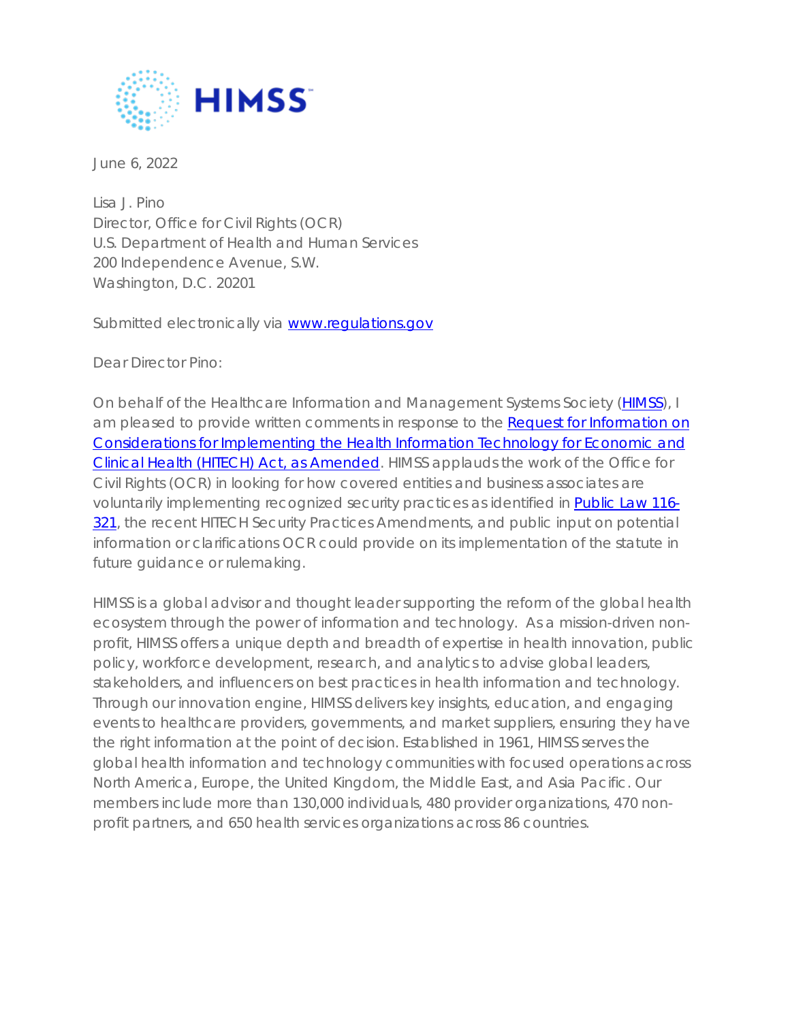

June 6, 2022

Lisa J. Pino Director, Office for Civil Rights (OCR) U.S. Department of Health and Human Services 200 Independence Avenue, S.W. Washington, D.C. 20201

*Submitted electronically via [www.regulations.gov](http://www.regulations.gov/)* 

Dear Director Pino:

On behalf of the Healthcare Information and Management Systems Society [\(HIMSS\)](https://www.himss.org/), I am pleased to provide written comments in response to the [Request for Information on](https://www.federalregister.gov/documents/2022/04/06/2022-07210/considerations-for-implementing-the-health-information-technology-for-economic-and-clinical-health)  [Considerations for Implementing the Health Information Technology for Economic and](https://www.federalregister.gov/documents/2022/04/06/2022-07210/considerations-for-implementing-the-health-information-technology-for-economic-and-clinical-health)  [Clinical Health \(HITECH\) Act, as Amended.](https://www.federalregister.gov/documents/2022/04/06/2022-07210/considerations-for-implementing-the-health-information-technology-for-economic-and-clinical-health) HIMSS applauds the work of the Office for Civil Rights (OCR) in looking for how covered entities and business associates are voluntarily implementing recognized security practices as identified in [Public Law 116-](https://www.govinfo.gov/link/plaw/116/public/321) [321,](https://www.govinfo.gov/link/plaw/116/public/321) the recent HITECH Security Practices Amendments, and public input on potential information or clarifications OCR could provide on its implementation of the statute in future guidance or rulemaking.

HIMSS is a global advisor and thought leader supporting the reform of the global health ecosystem through the power of information and technology. As a mission-driven nonprofit, HIMSS offers a unique depth and breadth of expertise in health innovation, public policy, workforce development, research, and analytics to advise global leaders, stakeholders, and influencers on best practices in health information and technology. Through our innovation engine, HIMSS delivers key insights, education, and engaging events to healthcare providers, governments, and market suppliers, ensuring they have the right information at the point of decision. Established in 1961, HIMSS serves the global health information and technology communities with focused operations across North America, Europe, the United Kingdom, the Middle East, and Asia Pacific. Our members include more than 130,000 individuals, 480 provider organizations, 470 nonprofit partners, and 650 health services organizations across 86 countries.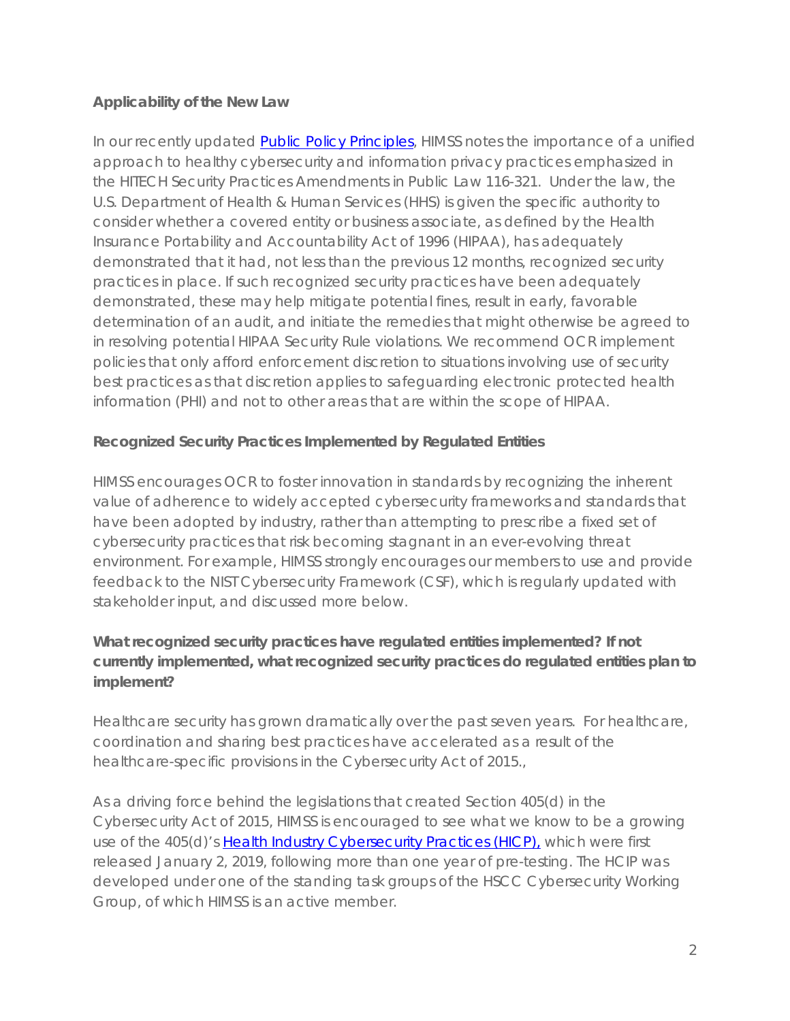#### **Applicability of the New Law**

In our recently updated [Public Policy Principles,](https://www.himss.org/resources/himss-public-policy-principles-0#:%7E:text=HIMSS%20developed%20Public%20Policy%20Principles,the%20needs%20of%20their%20populace.) HIMSS notes the importance of a unified approach to healthy cybersecurity and information privacy practices emphasized in the HITECH Security Practices Amendments in Public Law 116-321. Under the law, the U.S. Department of Health & Human Services (HHS) is given the specific authority to consider whether a covered entity or business associate, as defined by the Health Insurance Portability and Accountability Act of 1996 (HIPAA), has adequately demonstrated that it had, not less than the previous 12 months, recognized security practices in place. If such recognized security practices have been adequately demonstrated, these may help mitigate potential fines, result in early, favorable determination of an audit, and initiate the remedies that might otherwise be agreed to in resolving potential HIPAA Security Rule violations. We recommend OCR implement policies that only afford enforcement discretion to situations involving use of security best practices as that discretion applies to safeguarding electronic protected health information (PHI) and not to other areas that are within the scope of HIPAA.

#### **Recognized Security Practices Implemented by Regulated Entities**

HIMSS encourages OCR to foster innovation in standards by recognizing the inherent value of adherence to widely accepted cybersecurity frameworks and standards that have been adopted by industry, rather than attempting to prescribe a fixed set of cybersecurity practices that risk becoming stagnant in an ever-evolving threat environment. For example, HIMSS strongly encourages our members to use and provide feedback to the NIST Cybersecurity Framework (CSF), which is regularly updated with stakeholder input, and discussed more below.

# *What recognized security practices have regulated entities implemented? If not currently implemented, what recognized security practices do regulated entities plan to implement?*

Healthcare security has grown dramatically over the past seven years. For healthcare, coordination and sharing best practices have accelerated as a result of the healthcare-specific provisions in the Cybersecurity Act of 2015.,

As a driving force behind the legislations that created Section 405(d) in the Cybersecurity Act of 2015, HIMSS is encouraged to see what we know to be a growing use of the 405(d)'s **Health Industry Cybersecurity Practices (HICP)**, which were first released January 2, 2019, following more than one year of pre-testing. The HCIP was developed under one of the standing task groups of the HSCC Cybersecurity Working Group, of which HIMSS is an active member.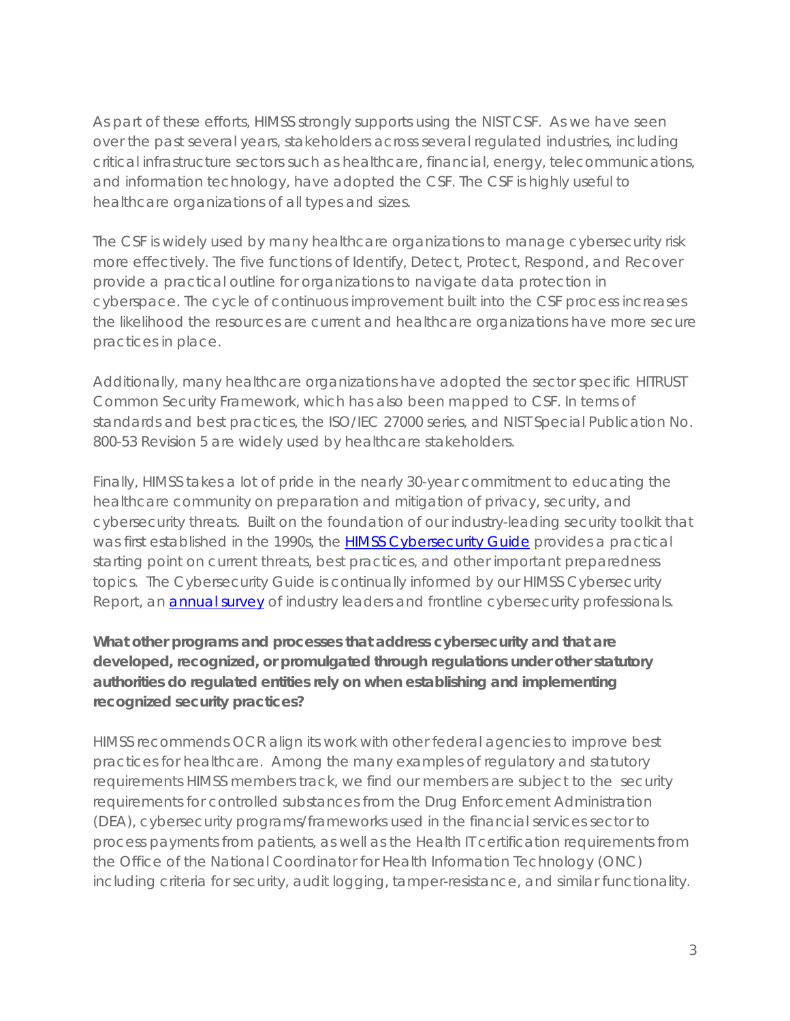As part of these efforts, HIMSS strongly supports using the NIST CSF. As we have seen over the past several years, stakeholders across several regulated industries, including critical infrastructure sectors such as healthcare, financial, energy, telecommunications, and information technology, have adopted the CSF. The CSF is highly useful to healthcare organizations of all types and sizes.

The CSF is widely used by many healthcare organizations to manage cybersecurity risk more effectively. The five functions of Identify, Detect, Protect, Respond, and Recover provide a practical outline for organizations to navigate data protection in cyberspace. The cycle of continuous improvement built into the CSF process increases the likelihood the resources are current and healthcare organizations have more secure practices in place.

Additionally, many healthcare organizations have adopted the sector specific HITRUST Common Security Framework, which has also been mapped to CSF. In terms of standards and best practices, the ISO/IEC 27000 series, and NIST Special Publication No. 800-53 Revision 5 are widely used by healthcare stakeholders.

Finally, HIMSS takes a lot of pride in the nearly 30-year commitment to educating the healthcare community on preparation and mitigation of privacy, security, and cybersecurity threats. Built on the foundation of our industry-leading security toolkit that was first established in the 1990s, the [HIMSS Cybersecurity Guide](https://www.himss.org/resources/cybersecurity-healthcare#Part1) provides a practical starting point on current threats, best practices, and other important preparedness topics. The Cybersecurity Guide is continually informed by our HIMSS Cybersecurity Report, an **annual survey** of industry leaders and frontline cybersecurity professionals.

# *What other programs and processes that address cybersecurity and that are developed, recognized, or promulgated through regulations under other statutory authorities do regulated entities rely on when establishing and implementing recognized security practices?*

HIMSS recommends OCR align its work with other federal agencies to improve best practices for healthcare. Among the many examples of regulatory and statutory requirements HIMSS members track, we find our members are subject to the security requirements for controlled substances from the Drug Enforcement Administration (DEA), cybersecurity programs/frameworks used in the financial services sector to process payments from patients, as well as the Health IT certification requirements from the Office of the National Coordinator for Health Information Technology (ONC) including criteria for security, audit logging, tamper-resistance, and similar functionality.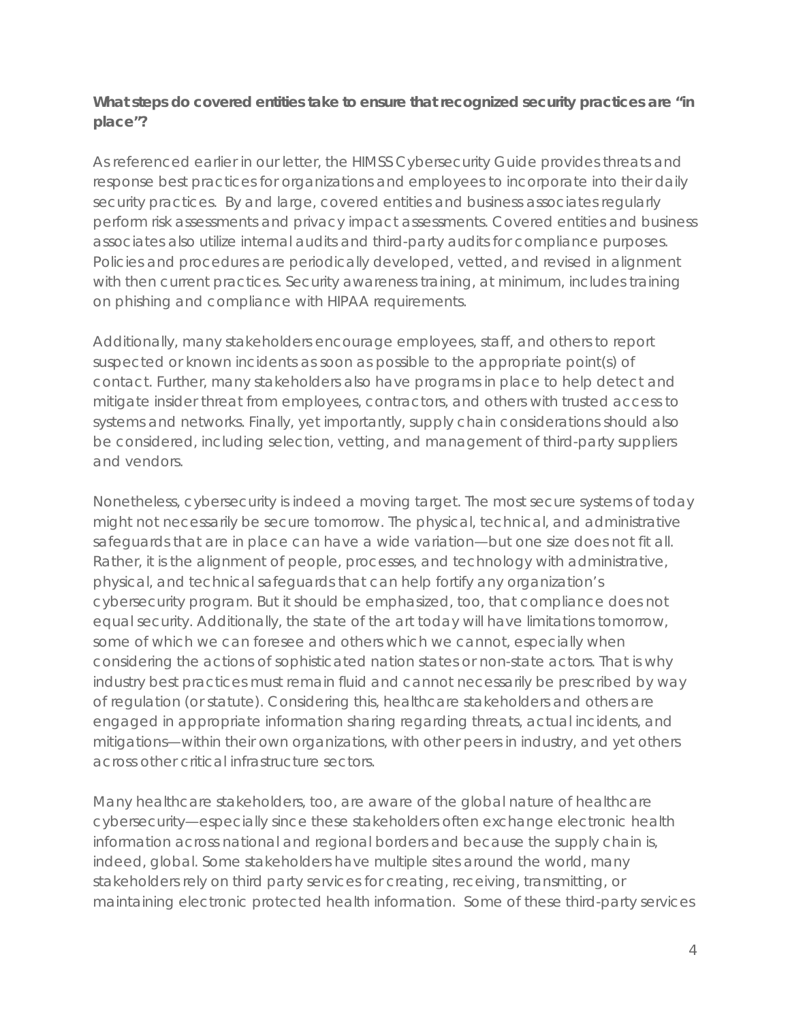#### *What steps do covered entities take to ensure that recognized security practices are "in place"?*

As referenced earlier in our letter, the HIMSS Cybersecurity Guide provides threats and response best practices for organizations and employees to incorporate into their daily security practices. By and large, covered entities and business associates regularly perform risk assessments and privacy impact assessments. Covered entities and business associates also utilize internal audits and third-party audits for compliance purposes. Policies and procedures are periodically developed, vetted, and revised in alignment with then current practices. Security awareness training, at minimum, includes training on phishing and compliance with HIPAA requirements.

Additionally, many stakeholders encourage employees, staff, and others to report suspected or known incidents as soon as possible to the appropriate point(s) of contact. Further, many stakeholders also have programs in place to help detect and mitigate insider threat from employees, contractors, and others with trusted access to systems and networks. Finally, yet importantly, supply chain considerations should also be considered, including selection, vetting, and management of third-party suppliers and vendors.

Nonetheless, cybersecurity is indeed a moving target. The most secure systems of today might not necessarily be secure tomorrow. The physical, technical, and administrative safeguards that are in place can have a wide variation—but one size does not fit all. Rather, it is the alignment of people, processes, and technology with administrative, physical, and technical safeguards that can help fortify any organization's cybersecurity program. But it should be emphasized, too, that compliance does not equal security. Additionally, the state of the art today will have limitations tomorrow, some of which we can foresee and others which we cannot, especially when considering the actions of sophisticated nation states or non-state actors. That is why industry best practices must remain fluid and cannot necessarily be prescribed by way of regulation (or statute). Considering this, healthcare stakeholders and others are engaged in appropriate information sharing regarding threats, actual incidents, and mitigations—within their own organizations, with other peers in industry, and yet others across other critical infrastructure sectors.

Many healthcare stakeholders, too, are aware of the global nature of healthcare cybersecurity—especially since these stakeholders often exchange electronic health information across national and regional borders and because the supply chain is, indeed, global. Some stakeholders have multiple sites around the world, many stakeholders rely on third party services for creating, receiving, transmitting, or maintaining electronic protected health information. Some of these third-party services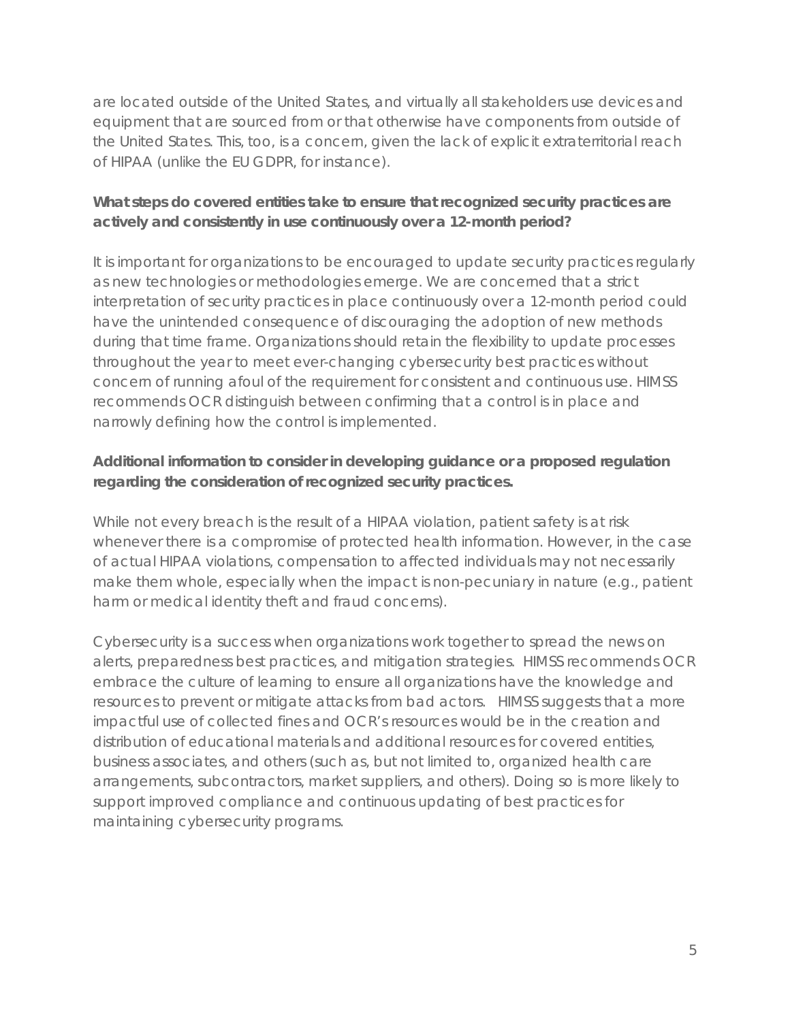are located outside of the United States, and virtually all stakeholders use devices and equipment that are sourced from or that otherwise have components from outside of the United States. This, too, is a concern, given the lack of explicit extraterritorial reach of HIPAA (unlike the EU GDPR, for instance).

## *What steps do covered entities take to ensure that recognized security practices are actively and consistently in use continuously over a 12-month period?*

It is important for organizations to be encouraged to update security practices regularly as new technologies or methodologies emerge. We are concerned that a strict interpretation of security practices in place continuously over a 12-month period could have the unintended consequence of discouraging the adoption of new methods during that time frame. Organizations should retain the flexibility to update processes throughout the year to meet ever-changing cybersecurity best practices without concern of running afoul of the requirement for consistent and continuous use. HIMSS recommends OCR distinguish between confirming that a control is in place and narrowly defining how the control is implemented.

# *Additional information to consider in developing guidance or a proposed regulation regarding the consideration of recognized security practices.*

While not every breach is the result of a HIPAA violation, patient safety is at risk whenever there is a compromise of protected health information. However, in the case of actual HIPAA violations, compensation to affected individuals may not necessarily make them whole, especially when the impact is non-pecuniary in nature (e.g., patient harm or medical identity theft and fraud concerns).

Cybersecurity is a success when organizations work together to spread the news on alerts, preparedness best practices, and mitigation strategies. HIMSS recommends OCR embrace the culture of learning to ensure all organizations have the knowledge and resources to prevent or mitigate attacks from bad actors. HIMSS suggests that a more impactful use of collected fines and OCR's resources would be in the creation and distribution of educational materials and additional resources for covered entities, business associates, and others (such as, but not limited to, organized health care arrangements, subcontractors, market suppliers, and others). Doing so is more likely to support improved compliance and continuous updating of best practices for maintaining cybersecurity programs.